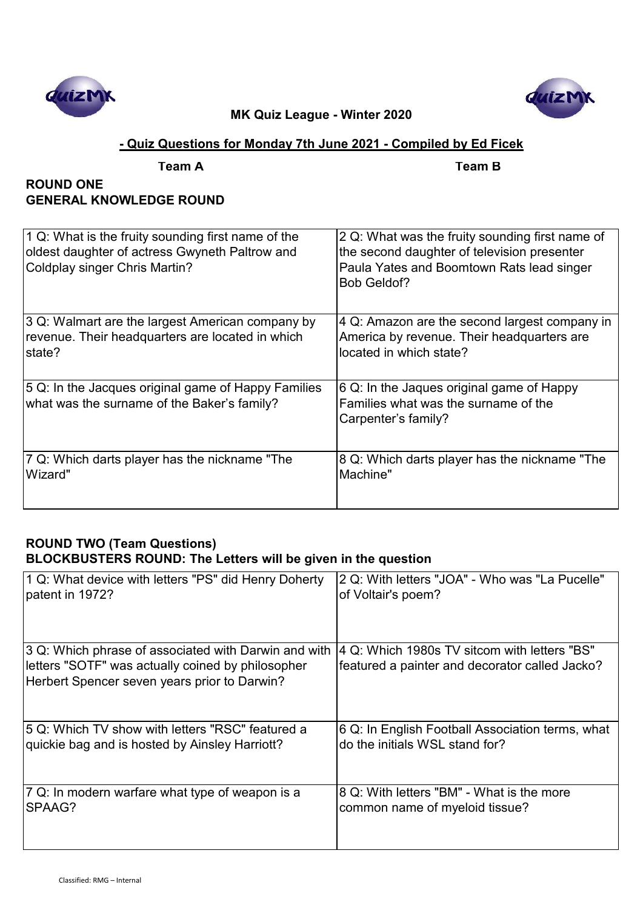



# **- Quiz Questions for Monday 7th June 2021 - Compiled by Ed Ficek**

|  | Tean |
|--|------|

**Team A Team B**

# **ROUND ONE GENERAL KNOWLEDGE ROUND**

| 1 Q: What is the fruity sounding first name of the<br>oldest daughter of actress Gwyneth Paltrow and<br>Coldplay singer Chris Martin? | 2 Q: What was the fruity sounding first name of<br>the second daughter of television presenter<br>Paula Yates and Boomtown Rats lead singer<br>Bob Geldof? |
|---------------------------------------------------------------------------------------------------------------------------------------|------------------------------------------------------------------------------------------------------------------------------------------------------------|
| 3 Q: Walmart are the largest American company by                                                                                      | 4 Q: Amazon are the second largest company in                                                                                                              |
| revenue. Their headquarters are located in which                                                                                      | America by revenue. Their headquarters are                                                                                                                 |
| state?                                                                                                                                | located in which state?                                                                                                                                    |
| 5 Q: In the Jacques original game of Happy Families<br>what was the surname of the Baker's family?                                    | 6 Q: In the Jaques original game of Happy<br>Families what was the surname of the<br>Carpenter's family?                                                   |
| 7 Q: Which darts player has the nickname "The                                                                                         | 8 Q: Which darts player has the nickname "The                                                                                                              |
| Wizard"                                                                                                                               | Machine"                                                                                                                                                   |

# **ROUND TWO (Team Questions) BLOCKBUSTERS ROUND: The Letters will be given in the question**

| 1 Q: What device with letters "PS" did Henry Doherty<br>patent in 1972? | 2 Q: With letters "JOA" - Who was "La Pucelle"<br>of Voltair's poem? |
|-------------------------------------------------------------------------|----------------------------------------------------------------------|
| 3 Q: Which phrase of associated with Darwin and with                    | 4 Q: Which 1980s TV sitcom with letters "BS"                         |
| letters "SOTF" was actually coined by philosopher                       | featured a painter and decorator called Jacko?                       |
| Herbert Spencer seven years prior to Darwin?                            |                                                                      |
| 5 Q: Which TV show with letters "RSC" featured a                        | 6 Q: In English Football Association terms, what                     |
| quickie bag and is hosted by Ainsley Harriott?                          | do the initials WSL stand for?                                       |
| 7 Q: In modern warfare what type of weapon is a                         | 8 Q: With letters "BM" - What is the more                            |
| SPAAG?                                                                  | common name of myeloid tissue?                                       |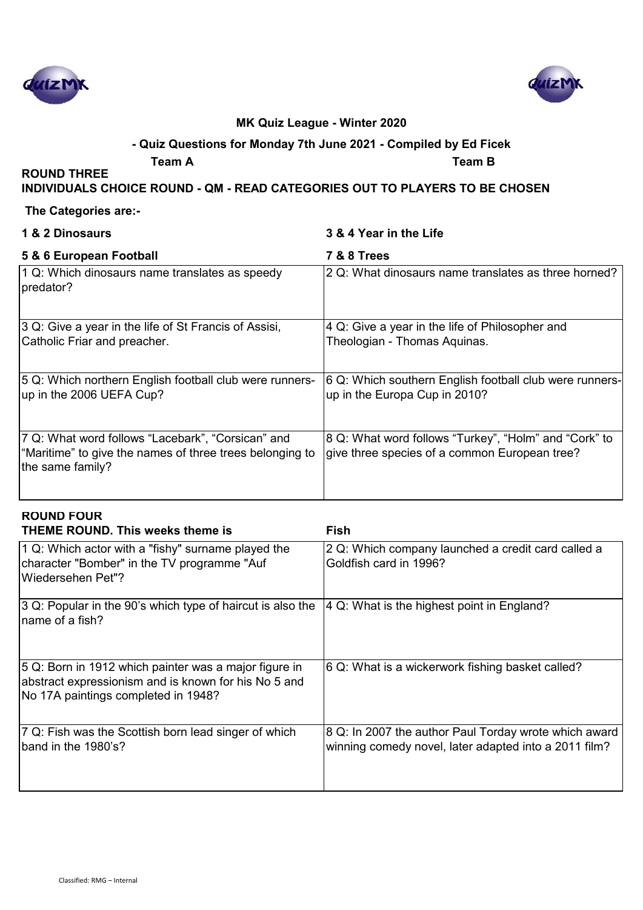



# **- Quiz Questions for Monday 7th June 2021 - Compiled by Ed Ficek**

**Team A Team B**

# **INDIVIDUALS CHOICE ROUND - QM - READ CATEGORIES OUT TO PLAYERS TO BE CHOSEN**

#### **The Categories are:-**

**ROUND THREE** 

# **1 & 2 Dinosaurs 3 & 4 Year in the Life**

| 5 & 6 European Football                                                                                                           | <b>7 &amp; 8 Trees</b>                                                                                 |
|-----------------------------------------------------------------------------------------------------------------------------------|--------------------------------------------------------------------------------------------------------|
| 1 Q: Which dinosaurs name translates as speedy<br>predator?                                                                       | 2 Q: What dinosaurs name translates as three horned?                                                   |
| 3 Q: Give a year in the life of St Francis of Assisi,<br>Catholic Friar and preacher.                                             | 4 Q: Give a year in the life of Philosopher and<br>Theologian - Thomas Aquinas.                        |
| 5 Q: Which northern English football club were runners-<br>up in the 2006 UEFA Cup?                                               | 6 Q: Which southern English football club were runners-<br>up in the Europa Cup in 2010?               |
| 7 Q: What word follows "Lacebark", "Corsican" and<br>"Maritime" to give the names of three trees belonging to<br>the same family? | 8 Q: What word follows "Turkey", "Holm" and "Cork" to<br>give three species of a common European tree? |

| <b>ROUND FOUR</b><br><b>THEME ROUND. This weeks theme is</b>                                                                                         | Fish                                                                                                           |
|------------------------------------------------------------------------------------------------------------------------------------------------------|----------------------------------------------------------------------------------------------------------------|
| $\vert$ 1 Q: Which actor with a "fishy" surname played the<br>character "Bomber" in the TV programme "Auf<br>lWiedersehen Pet"?                      | 2 Q: Which company launched a credit card called a<br>Goldfish card in 1996?                                   |
| 3 Q: Popular in the 90's which type of haircut is also the<br>Iname of a fish?                                                                       | $ 4 Q$ : What is the highest point in England?                                                                 |
| 5 Q: Born in 1912 which painter was a major figure in<br>abstract expressionism and is known for his No 5 and<br>No 17A paintings completed in 1948? | 6 Q: What is a wickerwork fishing basket called?                                                               |
| 7 Q: Fish was the Scottish born lead singer of which<br>band in the 1980's?                                                                          | 8 Q: In 2007 the author Paul Torday wrote which award<br>winning comedy novel, later adapted into a 2011 film? |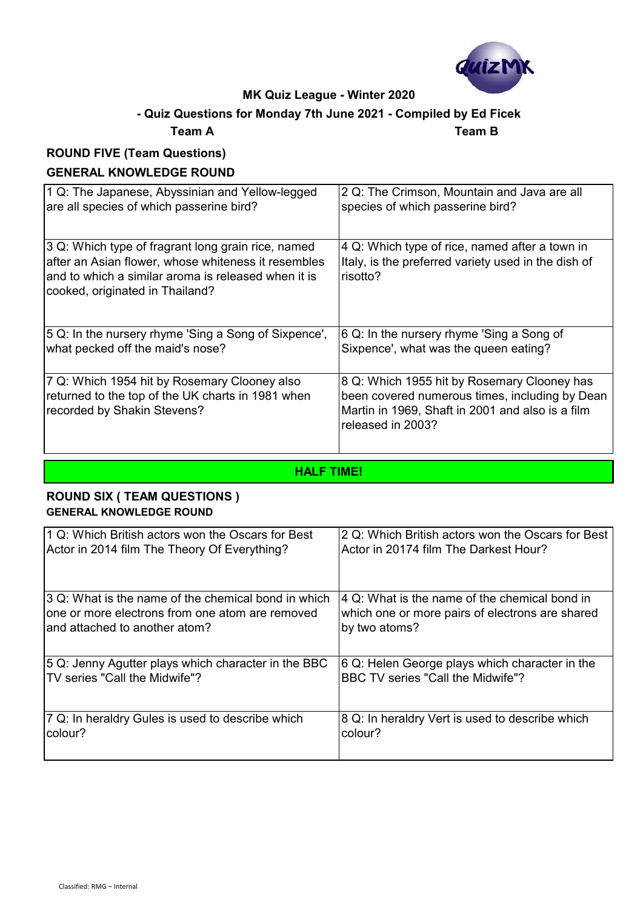

# **- Quiz Questions for Monday 7th June 2021 - Compiled by Ed Ficek**

## **Team A Team B**

# **ROUND FIVE (Team Questions) GENERAL KNOWLEDGE ROUND**

| 1 Q: The Japanese, Abyssinian and Yellow-legged                                                                                                                                                     | 2 Q: The Crimson, Mountain and Java are all                                                                                                                            |
|-----------------------------------------------------------------------------------------------------------------------------------------------------------------------------------------------------|------------------------------------------------------------------------------------------------------------------------------------------------------------------------|
| are all species of which passerine bird?                                                                                                                                                            | species of which passerine bird?                                                                                                                                       |
| 3 Q: Which type of fragrant long grain rice, named<br>after an Asian flower, whose whiteness it resembles<br>and to which a similar aroma is released when it is<br>cooked, originated in Thailand? | 4 Q: Which type of rice, named after a town in<br>Italy, is the preferred variety used in the dish of<br>risotto?                                                      |
| 5 Q: In the nursery rhyme 'Sing a Song of Sixpence',                                                                                                                                                | 6 Q: In the nursery rhyme 'Sing a Song of                                                                                                                              |
| what pecked off the maid's nose?                                                                                                                                                                    | Sixpence', what was the queen eating?                                                                                                                                  |
| 7 Q: Which 1954 hit by Rosemary Clooney also<br>returned to the top of the UK charts in 1981 when<br>recorded by Shakin Stevens?                                                                    | 8 Q: Which 1955 hit by Rosemary Clooney has<br>been covered numerous times, including by Dean<br>Martin in 1969, Shaft in 2001 and also is a film<br>released in 2003? |

**HALF TIME!**

# **ROUND SIX ( TEAM QUESTIONS ) GENERAL KNOWLEDGE ROUND**

| 1 Q: Which British actors won the Oscars for Best   | 2 Q: Which British actors won the Oscars for Best |
|-----------------------------------------------------|---------------------------------------------------|
| Actor in 2014 film The Theory Of Everything?        | Actor in 20174 film The Darkest Hour?             |
| 3 Q: What is the name of the chemical bond in which | 4 Q: What is the name of the chemical bond in     |
| lone or more electrons from one atom are removed    | which one or more pairs of electrons are shared   |
| land attached to another atom?                      | by two atoms?                                     |
| 5 Q: Jenny Agutter plays which character in the BBC | 6 Q: Helen George plays which character in the    |
| TV series "Call the Midwife"?                       | BBC TV series "Call the Midwife"?                 |
| 7 Q: In heraldry Gules is used to describe which    | 8 Q: In heraldry Vert is used to describe which   |
| colour?                                             | colour?                                           |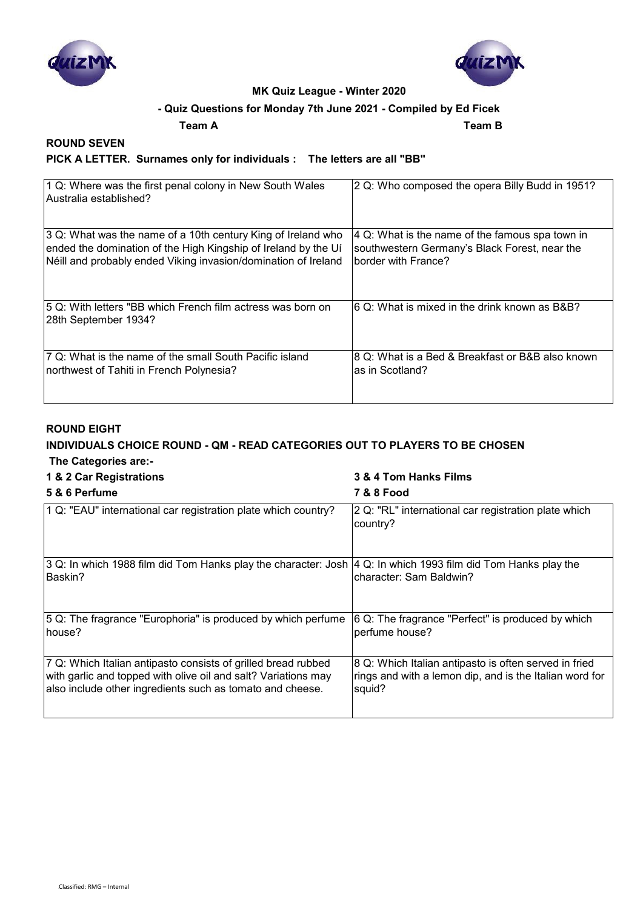



#### **- Quiz Questions for Monday 7th June 2021 - Compiled by Ed Ficek**

**Team A Team B**

#### **ROUND SEVEN**

#### **PICK A LETTER. Surnames only for individuals : The letters are all "BB"**

| 1 Q: Where was the first penal colony in New South Wales<br>lAustralia established?  | 2 Q: Who composed the opera Billy Budd in 1951?  |
|--------------------------------------------------------------------------------------|--------------------------------------------------|
| 3 Q: What was the name of a 10th century King of Ireland who                         | 4 Q: What is the name of the famous spa town in  |
| ended the domination of the High Kingship of Ireland by the Uí                       | southwestern Germany's Black Forest, near the    |
| Néill and probably ended Viking invasion/domination of Ireland                       | border with France?                              |
| 15 Q: With letters "BB which French film actress was born on<br>28th September 1934? | I6 Q: What is mixed in the drink known as B&B?   |
| 17 Q: What is the name of the small South Pacific island                             | 8 Q: What is a Bed & Breakfast or B&B also known |
| northwest of Tahiti in French Polynesia?                                             | as in Scotland?                                  |

#### **ROUND EIGHT**

#### **INDIVIDUALS CHOICE ROUND - QM - READ CATEGORIES OUT TO PLAYERS TO BE CHOSEN The Categories are:-**

#### **1 & 2 Car Registrations 3 & 4 Tom Hanks Films**

#### **5 & 6 Perfume 7 & 8 Food** 1 Q: "EAU" international car registration plate which country?  $|2 \text{ Q}$ : "RL" international car registration plate which country? 3 Q: In which 1988 film did Tom Hanks play the character: Josh Baskin? 4 Q: In which 1993 film did Tom Hanks play the character: Sam Baldwin? 5 Q: The fragrance "Europhoria" is produced by which perfume house? 6 Q: The fragrance "Perfect" is produced by which perfume house? 7 Q: Which Italian antipasto consists of grilled bread rubbed with garlic and topped with olive oil and salt? Variations may also include other ingredients such as tomato and cheese. 8 Q: Which Italian antipasto is often served in fried rings and with a lemon dip, and is the Italian word for squid?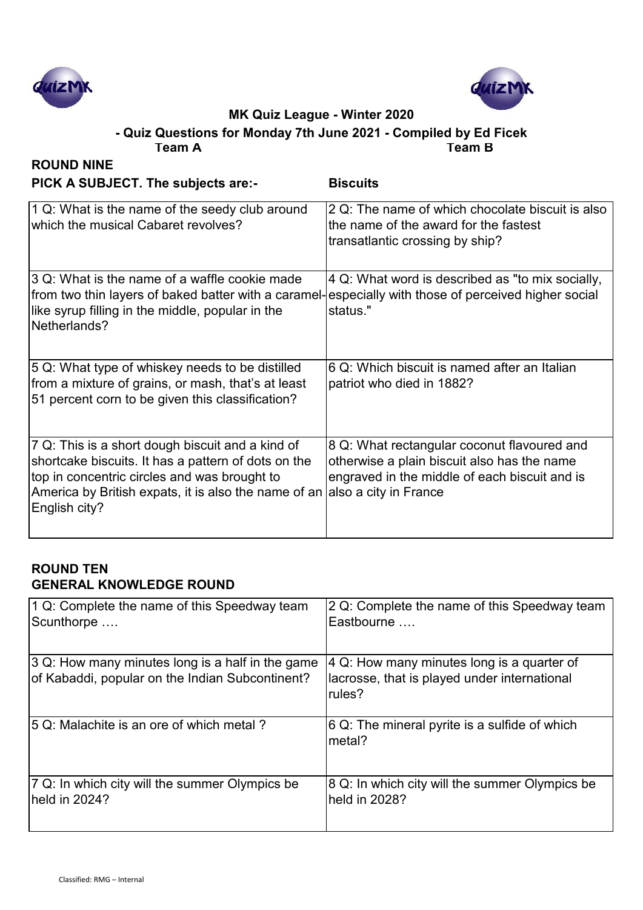



# **MK Quiz League - Winter 2020 - Quiz Questions for Monday 7th June 2021 - Compiled by Ed Ficek**

| Team A                                                                                                                                                                                                                           | <b>Team B</b>                                                                                                                                                        |
|----------------------------------------------------------------------------------------------------------------------------------------------------------------------------------------------------------------------------------|----------------------------------------------------------------------------------------------------------------------------------------------------------------------|
| <b>ROUND NINE</b><br>PICK A SUBJECT. The subjects are:-                                                                                                                                                                          | <b>Biscuits</b>                                                                                                                                                      |
| 1 Q: What is the name of the seedy club around<br>which the musical Cabaret revolves?                                                                                                                                            | 2 Q: The name of which chocolate biscuit is also<br>the name of the award for the fastest<br>transatlantic crossing by ship?                                         |
| 3 Q: What is the name of a waffle cookie made<br>from two thin layers of baked batter with a caramel-especially with those of perceived higher social<br>like syrup filling in the middle, popular in the<br>Netherlands?        | 4 Q: What word is described as "to mix socially,<br>status."                                                                                                         |
| 5 Q: What type of whiskey needs to be distilled<br>from a mixture of grains, or mash, that's at least<br>51 percent corn to be given this classification?                                                                        | 6 Q: Which biscuit is named after an Italian<br>patriot who died in 1882?                                                                                            |
| 7 Q: This is a short dough biscuit and a kind of<br>shortcake biscuits. It has a pattern of dots on the<br>top in concentric circles and was brought to<br>America by British expats, it is also the name of an<br>English city? | 8 Q: What rectangular coconut flavoured and<br>otherwise a plain biscuit also has the name<br>engraved in the middle of each biscuit and is<br>also a city in France |

# **ROUND TEN GENERAL KNOWLEDGE ROUND**

| 1 Q: Complete the name of this Speedway team                                                        | 2 Q: Complete the name of this Speedway team                                                         |
|-----------------------------------------------------------------------------------------------------|------------------------------------------------------------------------------------------------------|
| Scunthorpe                                                                                          | lEastbourne ….                                                                                       |
| 3 Q: How many minutes long is a half in the game<br>of Kabaddi, popular on the Indian Subcontinent? | 4 Q: How many minutes long is a quarter of<br>lacrosse, that is played under international<br>rules? |
| 5 Q: Malachite is an ore of which metal ?                                                           | $ 6 Q$ : The mineral pyrite is a sulfide of which<br>Imetal?                                         |
| 7 Q: In which city will the summer Olympics be                                                      | 8 Q: In which city will the summer Olympics be                                                       |
| held in 2024?                                                                                       | held in 2028?                                                                                        |